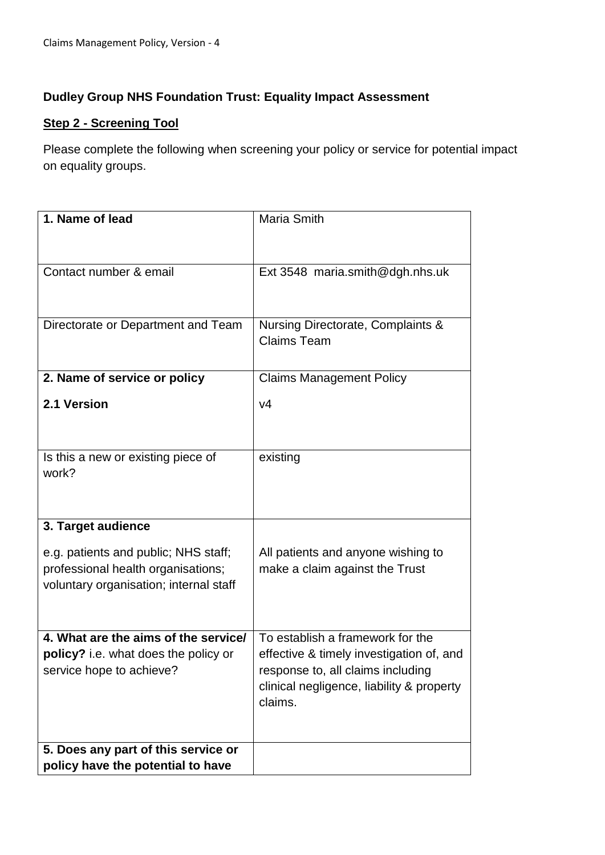## **Dudley Group NHS Foundation Trust: Equality Impact Assessment**

## **Step 2 - Screening Tool**

Please complete the following when screening your policy or service for potential impact on equality groups.

| 1. Name of lead                                                                                                      | <b>Maria Smith</b>                                                                                                                                                        |
|----------------------------------------------------------------------------------------------------------------------|---------------------------------------------------------------------------------------------------------------------------------------------------------------------------|
| Contact number & email                                                                                               | Ext 3548 maria.smith@dgh.nhs.uk                                                                                                                                           |
| Directorate or Department and Team                                                                                   | Nursing Directorate, Complaints &<br><b>Claims Team</b>                                                                                                                   |
| 2. Name of service or policy                                                                                         | <b>Claims Management Policy</b>                                                                                                                                           |
| 2.1 Version                                                                                                          | V <sub>4</sub>                                                                                                                                                            |
| Is this a new or existing piece of<br>work?                                                                          | existing                                                                                                                                                                  |
| 3. Target audience                                                                                                   |                                                                                                                                                                           |
| e.g. patients and public; NHS staff;<br>professional health organisations;<br>voluntary organisation; internal staff | All patients and anyone wishing to<br>make a claim against the Trust                                                                                                      |
| 4. What are the aims of the service/<br><b>policy?</b> i.e. what does the policy or<br>service hope to achieve?      | To establish a framework for the<br>effective & timely investigation of, and<br>response to, all claims including<br>clinical negligence, liability & property<br>claims. |
| 5. Does any part of this service or                                                                                  |                                                                                                                                                                           |
| policy have the potential to have                                                                                    |                                                                                                                                                                           |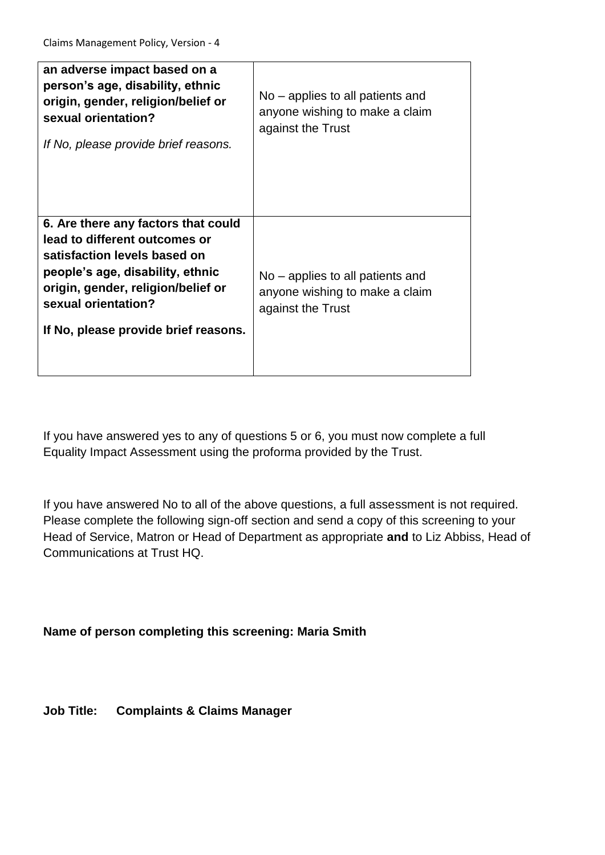| an adverse impact based on a<br>person's age, disability, ethnic<br>origin, gender, religion/belief or<br>sexual orientation?<br>If No, please provide brief reasons.                                                                         | No – applies to all patients and<br>anyone wishing to make a claim<br>against the Trust |
|-----------------------------------------------------------------------------------------------------------------------------------------------------------------------------------------------------------------------------------------------|-----------------------------------------------------------------------------------------|
| 6. Are there any factors that could<br>lead to different outcomes or<br>satisfaction levels based on<br>people's age, disability, ethnic<br>origin, gender, religion/belief or<br>sexual orientation?<br>If No, please provide brief reasons. | No – applies to all patients and<br>anyone wishing to make a claim<br>against the Trust |

If you have answered yes to any of questions 5 or 6, you must now complete a full Equality Impact Assessment using the proforma provided by the Trust.

If you have answered No to all of the above questions, a full assessment is not required. Please complete the following sign-off section and send a copy of this screening to your Head of Service, Matron or Head of Department as appropriate **and** to Liz Abbiss, Head of Communications at Trust HQ.

**Name of person completing this screening: Maria Smith**

**Job Title: Complaints & Claims Manager**